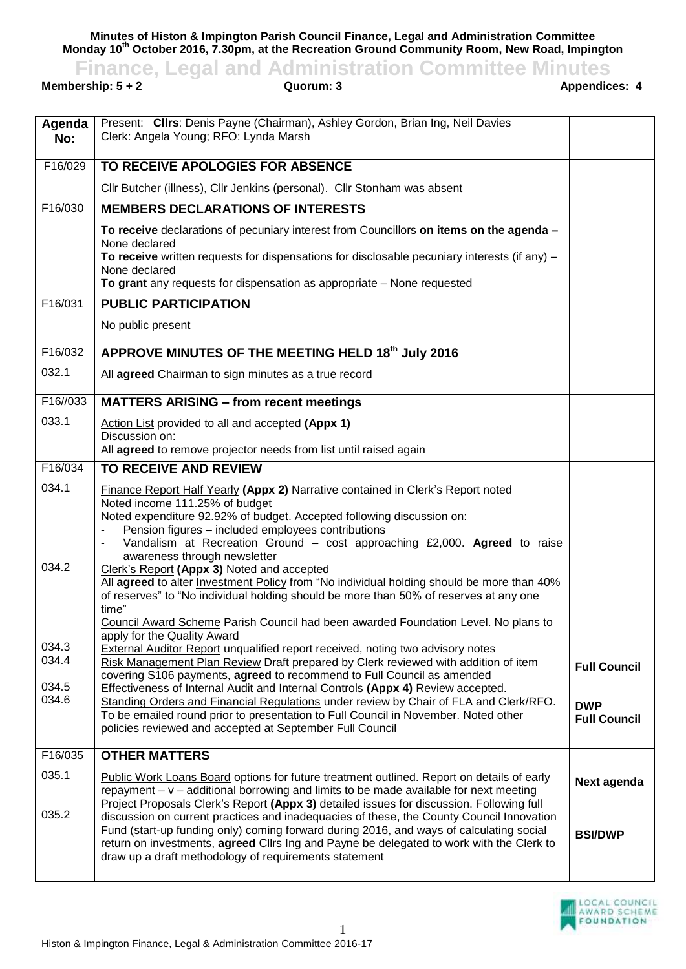**Minutes of Histon & Impington Parish Council Finance, Legal and Administration Committee Monday 10th October 2016, 7.30pm, at the Recreation Ground Community Room, New Road, Impington**

## **Finance, Legal and Administration Committee Minutes**<br>**Appendices: 4**<br>**Appendices: 4**<br>**Appendices: 4**

**Membership: 5 + 2** 

| Agenda<br>No:  | Present: Clirs: Denis Payne (Chairman), Ashley Gordon, Brian Ing, Neil Davies<br>Clerk: Angela Young; RFO: Lynda Marsh                                                                                                                                                                                                                                                                                                               |                                   |
|----------------|--------------------------------------------------------------------------------------------------------------------------------------------------------------------------------------------------------------------------------------------------------------------------------------------------------------------------------------------------------------------------------------------------------------------------------------|-----------------------------------|
| F16/029        | TO RECEIVE APOLOGIES FOR ABSENCE                                                                                                                                                                                                                                                                                                                                                                                                     |                                   |
|                | Cllr Butcher (illness), Cllr Jenkins (personal). Cllr Stonham was absent                                                                                                                                                                                                                                                                                                                                                             |                                   |
| F16/030        | <b>MEMBERS DECLARATIONS OF INTERESTS</b>                                                                                                                                                                                                                                                                                                                                                                                             |                                   |
|                | To receive declarations of pecuniary interest from Councillors on items on the agenda -                                                                                                                                                                                                                                                                                                                                              |                                   |
|                | None declared<br>To receive written requests for dispensations for disclosable pecuniary interests (if any) $-$                                                                                                                                                                                                                                                                                                                      |                                   |
|                | None declared<br>To grant any requests for dispensation as appropriate - None requested                                                                                                                                                                                                                                                                                                                                              |                                   |
| F16/031        | <b>PUBLIC PARTICIPATION</b>                                                                                                                                                                                                                                                                                                                                                                                                          |                                   |
|                | No public present                                                                                                                                                                                                                                                                                                                                                                                                                    |                                   |
|                |                                                                                                                                                                                                                                                                                                                                                                                                                                      |                                   |
| F16/032        | APPROVE MINUTES OF THE MEETING HELD 18th July 2016                                                                                                                                                                                                                                                                                                                                                                                   |                                   |
| 032.1          | All agreed Chairman to sign minutes as a true record                                                                                                                                                                                                                                                                                                                                                                                 |                                   |
| F16//033       | <b>MATTERS ARISING - from recent meetings</b>                                                                                                                                                                                                                                                                                                                                                                                        |                                   |
| 033.1          | Action List provided to all and accepted (Appx 1)                                                                                                                                                                                                                                                                                                                                                                                    |                                   |
|                | Discussion on:<br>All agreed to remove projector needs from list until raised again                                                                                                                                                                                                                                                                                                                                                  |                                   |
| F16/034        | TO RECEIVE AND REVIEW                                                                                                                                                                                                                                                                                                                                                                                                                |                                   |
| 034.1          | <b>Finance Report Half Yearly (Appx 2) Narrative contained in Clerk's Report noted</b><br>Noted income 111.25% of budget<br>Noted expenditure 92.92% of budget. Accepted following discussion on:<br>Pension figures - included employees contributions<br>$\overline{\phantom{a}}$<br>Vandalism at Recreation Ground - cost approaching £2,000. Agreed to raise<br>$\blacksquare$<br>awareness through newsletter                   |                                   |
| 034.2          | Clerk's Report (Appx 3) Noted and accepted<br>All agreed to alter <b>Investment Policy</b> from "No individual holding should be more than 40%<br>of reserves" to "No individual holding should be more than 50% of reserves at any one<br>time"                                                                                                                                                                                     |                                   |
|                | Council Award Scheme Parish Council had been awarded Foundation Level. No plans to<br>apply for the Quality Award                                                                                                                                                                                                                                                                                                                    |                                   |
| 034.3<br>034.4 | External Auditor Report unqualified report received, noting two advisory notes<br>Risk Management Plan Review Draft prepared by Clerk reviewed with addition of item                                                                                                                                                                                                                                                                 | <b>Full Council</b>               |
| 034.5          | covering S106 payments, agreed to recommend to Full Council as amended<br>Effectiveness of Internal Audit and Internal Controls (Appx 4) Review accepted.                                                                                                                                                                                                                                                                            |                                   |
| 034.6          | Standing Orders and Financial Regulations under review by Chair of FLA and Clerk/RFO.<br>To be emailed round prior to presentation to Full Council in November. Noted other<br>policies reviewed and accepted at September Full Council                                                                                                                                                                                              | <b>DWP</b><br><b>Full Council</b> |
| F16/035        | <b>OTHER MATTERS</b>                                                                                                                                                                                                                                                                                                                                                                                                                 |                                   |
| 035.1          | Public Work Loans Board options for future treatment outlined. Report on details of early<br>repayment $- v -$ additional borrowing and limits to be made available for next meeting                                                                                                                                                                                                                                                 | Next agenda                       |
| 035.2          | Project Proposals Clerk's Report (Appx 3) detailed issues for discussion. Following full<br>discussion on current practices and inadequacies of these, the County Council Innovation<br>Fund (start-up funding only) coming forward during 2016, and ways of calculating social<br>return on investments, agreed Clirs Ing and Payne be delegated to work with the Clerk to<br>draw up a draft methodology of requirements statement | <b>BSI/DWP</b>                    |